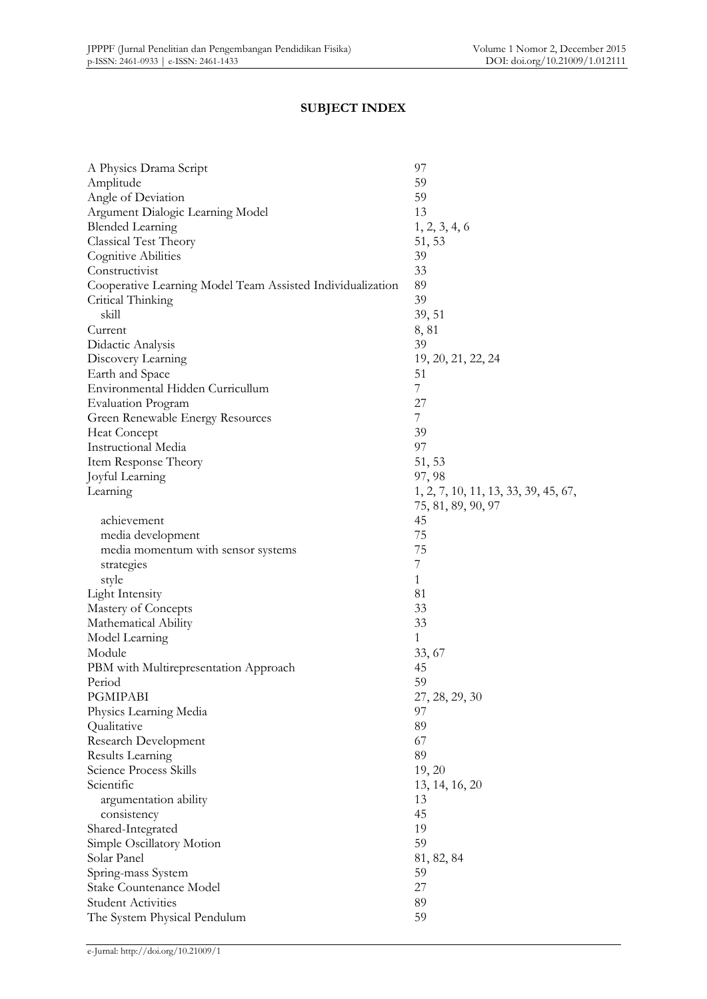## **SUBJECT INDEX**

| A Physics Drama Script                                     | 97                                   |
|------------------------------------------------------------|--------------------------------------|
| Amplitude                                                  | 59                                   |
| Angle of Deviation                                         | 59                                   |
| Argument Dialogic Learning Model                           | 13                                   |
| <b>Blended Learning</b>                                    | 1, 2, 3, 4, 6                        |
| Classical Test Theory                                      | 51, 53                               |
| Cognitive Abilities                                        | 39                                   |
| Constructivist                                             | 33                                   |
| Cooperative Learning Model Team Assisted Individualization | 89                                   |
| Critical Thinking                                          | 39                                   |
| skill                                                      | 39, 51                               |
| Current                                                    | 8,81                                 |
| Didactic Analysis                                          | 39                                   |
| Discovery Learning                                         | 19, 20, 21, 22, 24                   |
| Earth and Space                                            | 51                                   |
| Environmental Hidden Curricullum                           | $\overline{7}$                       |
| <b>Evaluation Program</b>                                  | 27                                   |
| Green Renewable Energy Resources                           | 7                                    |
| <b>Heat Concept</b>                                        | 39                                   |
| Instructional Media                                        | 97                                   |
| Item Response Theory                                       | 51, 53                               |
| Joyful Learning                                            | 97, 98                               |
| Learning                                                   | 1, 2, 7, 10, 11, 13, 33, 39, 45, 67, |
|                                                            | 75, 81, 89, 90, 97                   |
| achievement                                                | 45                                   |
| media development                                          | 75                                   |
| media momentum with sensor systems                         | 75                                   |
|                                                            | 7                                    |
| strategies<br>style                                        | 1                                    |
|                                                            | 81                                   |
| <b>Light Intensity</b>                                     | 33                                   |
| Mastery of Concepts                                        | 33                                   |
| Mathematical Ability                                       |                                      |
| Model Learning                                             | 1                                    |
| Module                                                     | 33, 67                               |
| PBM with Multirepresentation Approach                      | 45                                   |
| Period                                                     | 59                                   |
| <b>PGMIPABI</b>                                            | 27, 28, 29, 30                       |
| Physics Learning Media                                     | 97                                   |
| Qualitative                                                | 89                                   |
| Research Development                                       | 67                                   |
| Results Learning                                           | 89                                   |
| Science Process Skills                                     | 19, 20                               |
| Scientific                                                 | 13, 14, 16, 20                       |
| argumentation ability                                      | 13                                   |
| consistency                                                | 45                                   |
| Shared-Integrated                                          | 19                                   |
| Simple Oscillatory Motion                                  | 59                                   |
| Solar Panel                                                | 81, 82, 84                           |
| Spring-mass System                                         | 59                                   |
| Stake Countenance Model                                    | 27                                   |
| <b>Student Activities</b>                                  | 89                                   |
| The System Physical Pendulum                               | 59                                   |
|                                                            |                                      |

e-Jurnal: http://doi.org/10.21009/1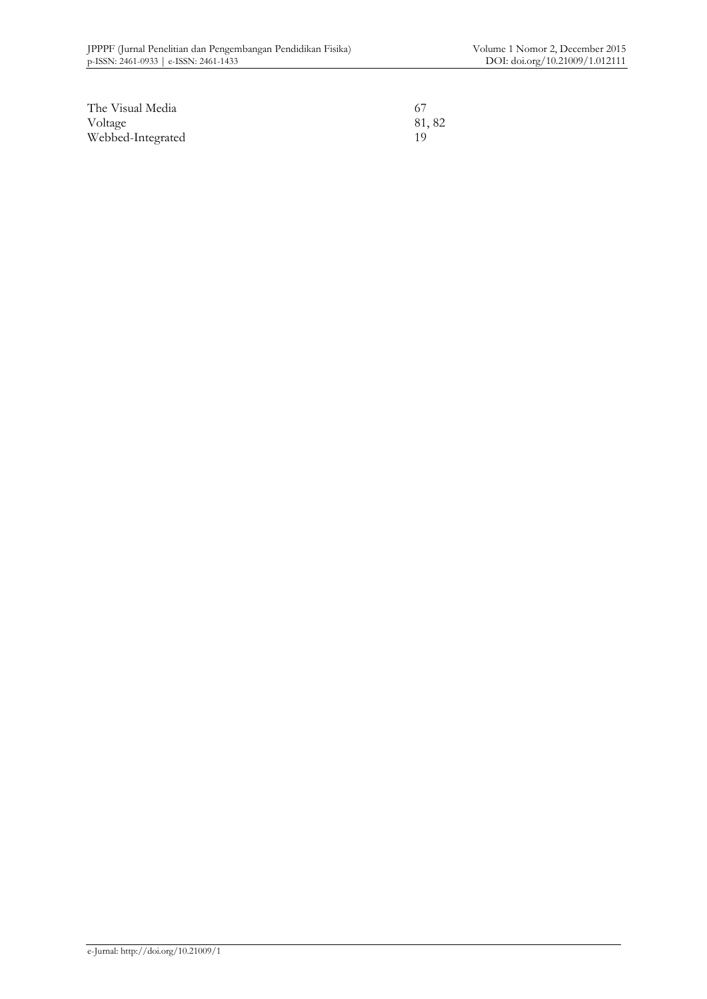| The Visual Media  |       |
|-------------------|-------|
| Voltage           | 81,82 |
| Webbed-Integrated |       |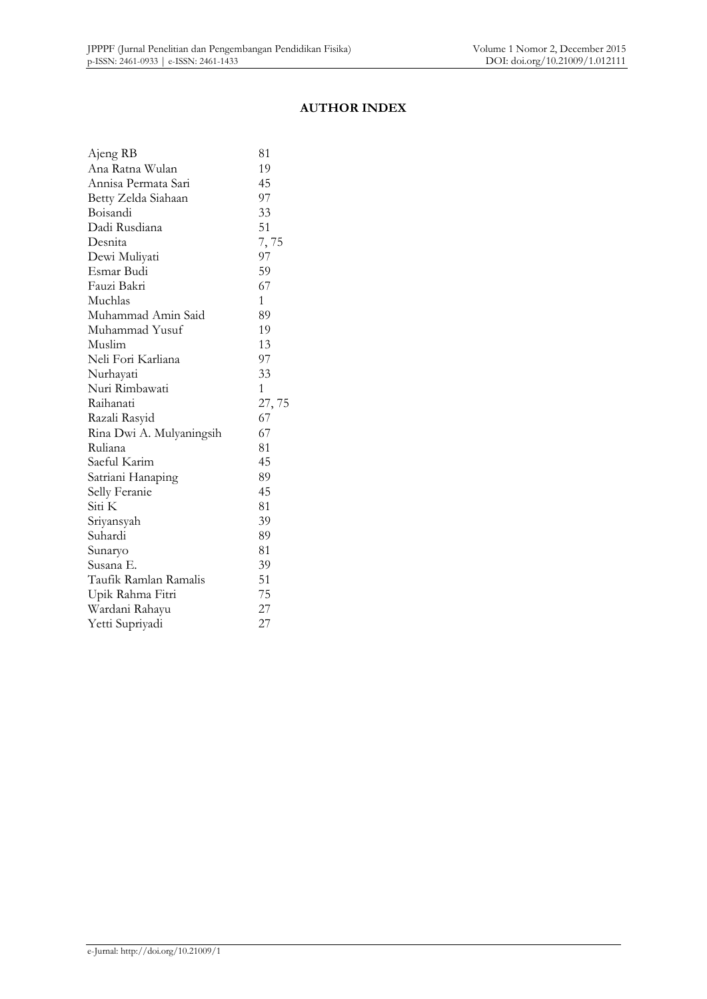#### **AUTHOR INDEX**

| Ajeng RB                 | 81           |
|--------------------------|--------------|
| Ana Ratna Wulan          | 19           |
| Annisa Permata Sari      | 45           |
| Betty Zelda Siahaan      | 97           |
| Boisandi                 | 33           |
| Dadi Rusdiana            | 51           |
| Desnita                  | 7,75         |
| Dewi Muliyati            | 97           |
| Esmar Budi               | 59           |
| Fauzi Bakri              | 67           |
| Muchlas                  | $\mathbf{1}$ |
| Muhammad Amin Said       | 89           |
| Muhammad Yusuf           | 19           |
| Muslim                   | 13           |
| Neli Fori Karliana       | 97           |
| Nurhayati                | 33           |
| Nuri Rimbawati           | 1            |
| Raihanati                | 27,75        |
| Razali Rasyid            | 67           |
| Rina Dwi A. Mulyaningsih | 67           |
| Ruliana                  | 81           |
| Saeful Karim             | 45           |
| Satriani Hanaping        | 89           |
| Selly Feranie            | 45           |
| Siti K                   | 81           |
| Sriyansyah               | 39           |
| Suhardi                  | 89           |
| Sunaryo                  | 81           |
| Susana E.                | 39           |
| Taufik Ramlan Ramalis    | 51           |
| Upik Rahma Fitri         | 75           |
| Wardani Rahayu           | 27           |
| Yetti Supriyadi          | 27           |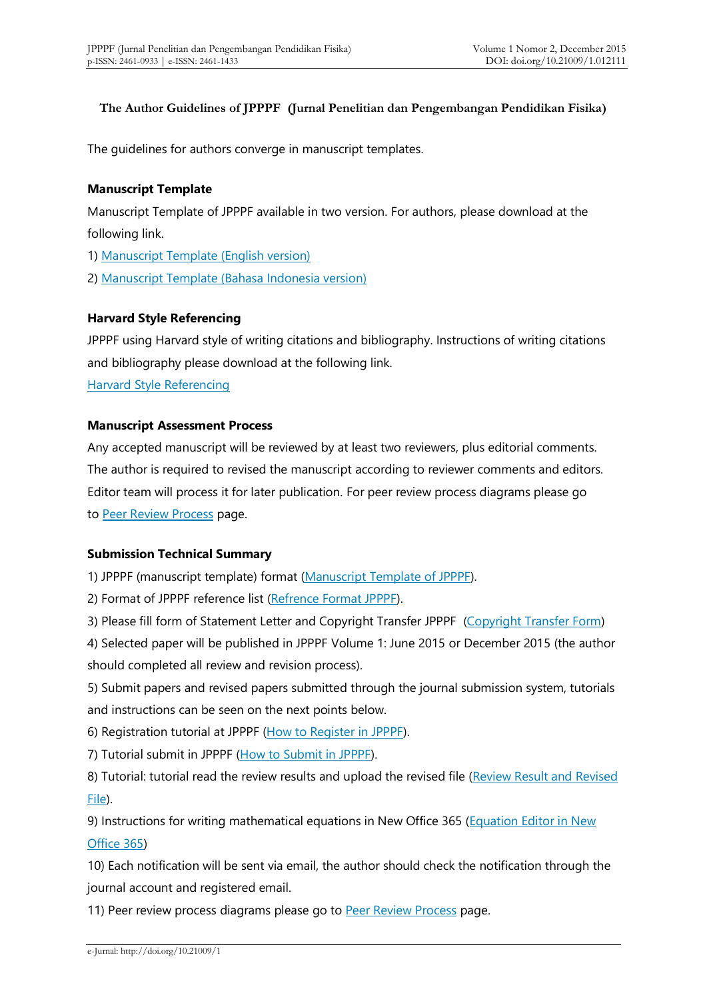#### **The Author Guidelines of JPPPF (Jurnal Penelitian dan Pengembangan Pendidikan Fisika)**

The guidelines for authors converge in manuscript templates.

#### **Manuscript Template**

Manuscript Template of JPPPF available in two version. For authors, please download at the following link.

1) [Manuscript Template \(English version\)](https://drive.google.com/open?id=0B4Xa5CiP3JF8c0ZzQjNmNXI1dHM)

2) [Manuscript Template \(Bahasa Indonesia version\)](https://drive.google.com/open?id=0B4Xa5CiP3JF8enJiTzlMSEI1LUU)

#### **Harvard Style Referencing**

JPPPF using Harvard style of writing citations and bibliography. Instructions of writing citations and bibliography please download at the following link.

[Harvard Style Referencing](https://drive.google.com/open?id=0B4Xa5CiP3JF8M0xVNk0zek0wV00)

#### **Manuscript Assessment Process**

Any accepted manuscript will be reviewed by at least two reviewers, plus editorial comments. The author is required to revised the manuscript according to reviewer comments and editors. Editor team will process it for later publication. For peer review process diagrams please go to [Peer Review Process](http://journal.unj.ac.id/unj/index.php/jpppf/reviewprocess) page.

### **Submission Technical Summary**

1) JPPPF (manuscript template) format [\(Manuscript Template of JPPPF\)](http://journal.unj.ac.id/unj/index.php/jpppf/manuscripttemplate).

2) Format of JPPPF reference list [\(Refrence Format JPPPF\)](http://tiny.cc/FormatRefJPPPF).

3) Please fill form of Statement Letter and Copyright Transfer JPPPF [\(Copyright Transfer Form\)](https://form.jotform.me/72668472702462)

4) Selected paper will be published in JPPPF Volume 1: June 2015 or December 2015 (the author should completed all review and revision process).

5) Submit papers and revised papers submitted through the journal submission system, tutorials and instructions can be seen on the next points below.

6) Registration tutorial at JPPPF [\(How to Register in JPPPF\)](https://youtu.be/VsVdfjGES2s).

7) Tutorial submit in JPPPF [\(How to Submit in JPPPF\)](https://youtu.be/AwNlxiaeVys).

8) Tutorial: tutorial read the review results and upload the revised file (Review Result and Revised [File\)](https://www.youtube.com/watch?v=WlCydgQdrMY).

9) Instructions for writing mathematical equations in New Office 365 (Equation Editor in New [Office 365\)](http://journal.unj.ac.id/unj/index.php/jpppf/equation)

10) Each notification will be sent via email, the author should check the notification through the journal account and registered email.

11) Peer review process diagrams please go to [Peer Review Process](http://journal.unj.ac.id/unj/index.php/jpppf/reviewprocess) page.